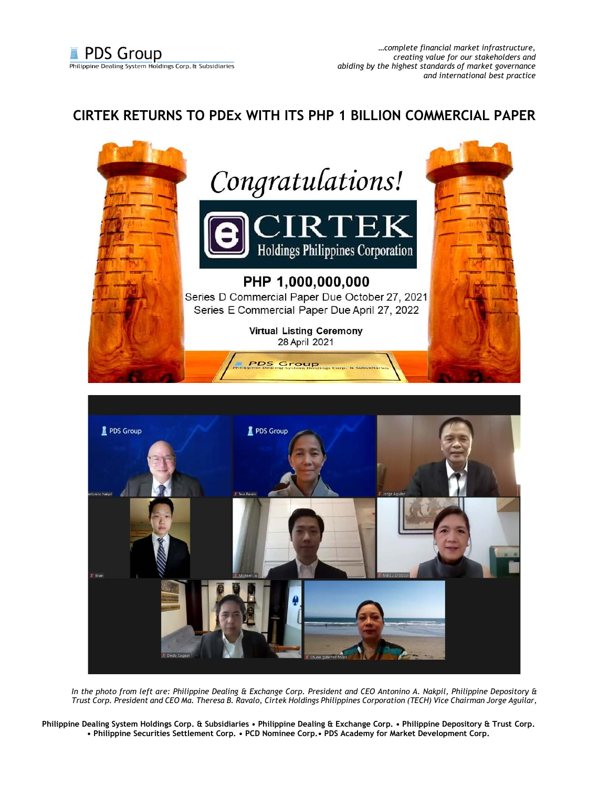## **CIRTEK RETURNS TO PDEx WITH ITS PHP 1 BILLION COMMERCIAL PAPER**





*In the photo from left are: Philippine Dealing & Exchange Corp. President and CEO Antonino A. Nakpil, Philippine Depository & Trust Corp. President and CEO Ma. Theresa B. Ravalo, Cirtek Holdings Philippines Corporation (TECH) Vice Chairman Jorge Aguilar,* 

**Philippine Dealing System Holdings Corp. & Subsidiaries • Philippine Dealing & Exchange Corp. • Philippine Depository & Trust Corp. • Philippine Securities Settlement Corp. • PCD Nominee Corp.• PDS Academy for Market Development Corp.**